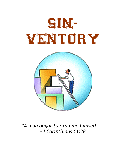

"A man ought to examine himself..." – I Corinthians 11:28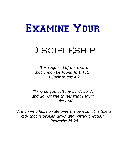

# Discipleship

"It is required of a steward that a man be found faithful." - I Corinthians 4:2

"Why do you call me Lord, Lord, and do not the things that I say?"  $-$  Luke 6:46

"A man who has no rule over his own spirit is like a city that is broken down and without walls." - Proverbs 25:28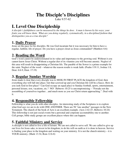# **The Disciple's Disciplines**

Luke 9:57-62

# **I. Level One Discipleship**

*A disciple's faithfulness can be measured by the things he does. A man is known by his ways; your fruits you will know them. What are you doing regularly, systematically, in a disciplined fashion that distinguishes you as a true disciple?* 

# **1. Daily Prayer**

Jesus set the pace for his disciples. He was God incarnate but it was necessary for him to have a regular, faithful, life of prayer. Do you have a prayer closet as Jesus commanded? (Matthew 6:6)

# **2. Reading the Word**

God's word cannot be underestimated in its value and importance to the growing soul. Without it you cannot know Jesus Christ. Without a regular diet of its vitamins you will become anemic. Neglect of this area will result in disappointing a Christian life. The parable of the Sower is a prime example for the saint. Neglect of the word – whatever the reason results is weak faith. (Psalm 119:11, Joshua 1:8, Deut. 6:6-9, Deut. 17:19)

# **3. Regular Sunday Worship**

Jesus made it clear that every disciple was to SEEK IN FIRST PLACE the kingdom of God, then everything else will fall into place. Get that screwed up and you Christian life will be a fiasco. How do you seek God in first place? Can God occupy an equal place to Sunday football, sports, entertainment, personal leisure, rest, vacations, etc.? NO! Hebrews 10:25 is uncompromising – "Forsake not the assembling of yourselves together…and much more as you see Christ return approaching.". Deal with it.

# **4. Responsible Fellowship**

Fellowship is what you do with other disciples. An interesting study of the Scriptures is to explore what God says we are to do with ONE ANOTHER. There are 58 "one another" passages in the New Testament. The church of the book of Acts is an excellent example. (Acts 2:42-47, Hebrews 10:24) This fellowship is not just social events but a personal and corporate accountability one to another. Cell groups, bible study groups are excellent places where this can happen.

# **5. Faithful Ministry and Service**

A disciple is not called to live a life of leisure. We are not called to serve self. We are called to give up our lives for Jesus sake, to invest in his kingdom; to do his will on earth as it is done in heaven. Service is finding your place in the kingdom and waiting on your ministry. It is not the church ministry – it is YOUR ministry. (Mark 13:34, Rom 12:6-8)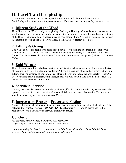# **II. Level Two Discipleship**

*As you grow more mature in Christ so you disciplines and godly habits will grow with you. Diminishing habits show diminishing commitments. What vows are you performing before the Lord?* 

# **1. Diligent Study of the Word**

The call to read the Word is only the beginning. Paul urges Timothy to know the word, memorize the word, preach, teach the word, and study the word. Studying the word means that you become a student of the Bible. God's word holds a special place in your heart and life. You search it, memorize it, study it, explore it, obey it, and share it. (Acts 17:11, 2 Timothy 2:15, Hebrews 5:12-14)

# **2. Tithing & Giving**

God wants to bless his people with prosperity. But unless we learn the true meaning of money we cannot be blessed no matter how much we make. Managing our money is a major issue with Jesus Christ. You cannot serve God and money. Money must take a subservient place. (Luke 6:38; Matthew 33-34)

# **3. Bold Witness**

That a disciple is a soldier who holds up the flag of his King is beyond question. Jesus makes the issue of speaking up for him a matter of discipleship. "If you are ashamed of me and my words in this sinful culture, I will be ashamed of you before my Father in heaven and before the holy angels." (Luke 9:23- 24) Witnessing is not a program, but a lifestyle decision. Will you blush to own his name? (Jude 1:3) Do you earnestly contend for the faith?

# **4. Sacrificial Service**

Not only are we called to service in ministry with the gifts God has entrusted to us; we are also called upon to live a life of sacrificial service. (Romans 12:1-2) It is our reasonable service. This means to stretch ourselves beyond our means to serve Christ.

# **5. Intercessory Prayer – Prayer and Fasting**

No one will ever win battles without waging war. And war can only be waged on the battlefield. The battlefield for spiritual warfare is ON OUR KNEES. (Ephesians 6:18 and I Corinthians 10:4-5, Matthew 19:15) Do you exercise spiritual authority in prayer?

# **Conclusion:**

*Are you more disciplined today than you were last year? ( 2 years ago, 5 years ago, 10 years ago, 20 years ago?)* 

*Are you maturing in Christ? Are you stronger in faith? More disciplined? More faithful? More dedicated? More Christ-centered? More loving and giving?*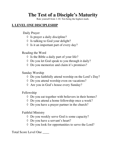# **The Test of a Disciple's Maturity**

Rate yourself from 1-10. Ten being the highest mark.

## **I. LEVEL ONE DISCIPLESHIP**

Daily Prayer

- $\Diamond$  Is prayer a daily discipline?
- ◊ Is talking to God your delight?
- ◊ Is it an important part of every day?

Reading the Word

- $\Diamond$  Is the Bible a daily part of your life?
- ◊ Do you let God speak to you through it daily?
- ◊ Do you memorize and claim it's promises?

Sunday Worship

- ◊ Do you faithfully attend worship on the Lord's Day?
- ◊ Do you attend worship even on vacations?
- ◊ Are you in God's house every Sunday?

Fellowship

- ◊ Do you eat together with believers in their homes?
- ◊ Do you attend a home fellowship once a week?
- ◊ Do you have a prayer partner in the church?

Faithful Ministry

- ◊ Do you weekly serve God is some capacity?
- ◊ Do you have a servant's heart?
- ◊ Do you look for opportunities to serve the Lord?

Total Score Level One \_\_\_\_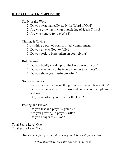# **II. LEVEL TWO DISCIPLESHIP**

Study of the Word

- ◊ Do you systematically study the Word of God?
- ◊ Are you growing in your knowledge of Jesus Christ?
- ◊ Are you hungry for the Word?

Tithing & Giving

- $\Diamond$  Is tithing a part of your spiritual commitment?
- ◊ Do you give to God joyfully?
- ◊ Do you seek to bless others in your giving?

Bold Witness

- ◊ Do you boldly speak up for the Lord Jesus at work?
- ◊ Do you meet with unbelievers in order to witness?
- ◊ Do you share your testimony often?

Sacrificial Service

- ◊ Have you given up something in order to serve Jesus lately?
- ◊ Do you often say "yes" to Jesus and no to your own pleasures, and wants?
- ◊ Do you sacrifice your time for the Lord?

Fasting and Prayer

- ◊ Do you fast and prayer regularly?
- ◊ Are you growing in prayer skills?
- ◊ Do you hunger after God?

Total Score Level One \_\_\_\_

Total Score Level Two \_\_\_\_

*What will be your goals for the coming year? How will you improve?* 

*Highlight in yellow each step you need to work on.*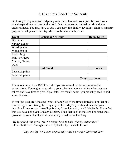# A Disciple's God-Time Schedule

Go through the process of budgeting your time. Evaluate your priorities with your actual expenditure of time on the Lord. Don't exaggerate, but neither should you underestimate. You may have to add a category, like family devotions, choir as ministry prep, or worship team ministry which doubles as worship time.

| <b>Event</b>          | <b>Calendar Schedule</b> | <b>Hours Spent</b> |
|-----------------------|--------------------------|--------------------|
| Devotions             |                          |                    |
| <b>Sunday School</b>  |                          |                    |
| Worship a.m.          |                          |                    |
| Worship p.m.          |                          |                    |
| Prayer Mtg            |                          |                    |
| Ministry Preps.       |                          |                    |
| <b>Ministry Tasks</b> |                          |                    |
| Other                 |                          |                    |
|                       | <b>Sub Total</b>         | hours              |
| Leadership time       |                          |                    |
| Leadership time       |                          |                    |
|                       | <b>Total</b>             | hours              |

If you total more than 10 ½ hours then you are maxed out beyond reasonable expectations. You ought not to add to your schedule more activities unless you are retired and have time to give. If you total less than 6 hours you probably need to add some God -time.

If you find your are "cheating" yourself and God of the time allotted to him then it is time to begin prioritizing the King in your life. Maybe you should increase your devotional time, or start attending Sunday School, church, or a Bible Study. If you find that you have not given God any Ministry Time then look at the Jobs For Jesus sheet provided in your church and decide how you will serve the King.

*"He is no fool who gives what he cannot keep to gain what he cannot lose."*  --Jim Elliott from Through Gates of Splendor by Elisabeth Elliott

*"Only one life 'twill soon be past only what's done for Christ will last"*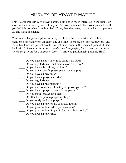# Survey of Prayer Habits

This is a general survey of prayer habits. I am not so much interested in the results or score as I am the survey's affect on you. Are you convicted about your prayer life? Do you feel it is not what it ought to be? If yes, then the survey has served a good purpose. Go and work on change.

You cannot change everything at once, but choose the most desired disciplines mentioned here and work on those, one at a time. There are no "perfect pray-ers" any more than there are perfect people. Perfection is found in the constant pursuit of God. Paul said, *"I have not yet attained, neither am I yet perfect, but I press toward the mark for the prize of the high calling of Christ."*. Are you passionately pursuing Him?

- \_\_\_\_ Do you have a daily quiet time alone with God?
- \_\_\_\_ Do you regularly read and meditate on Scripture?
- \_\_\_\_ Do you have a literal prayer closet?
- \_\_\_\_ Do you use a specific prayer pattern as you pray?
- \_\_\_\_ Do you have a prayer plan?
- Do you have a prayer calendar?
- \_\_\_\_ Do you regularly fast?
- Do you have a prayer partner?
- \_\_\_\_ Do you meet once a week with your prayer partner?
- \_\_\_\_ Do you have a prayer accountability partner?
- \_\_\_\_ Do you model prayer for others?
- \_\_\_\_ Do attend a corporate prayer meeting?
- \_\_\_\_ Do you study books on prayer?
- \_\_\_\_ Do you have a prayer diary or prayer journal?
- \_\_\_\_ Do you pray out loud when you are alone?
- Do you pray out loud in public (before other people)?
- \_\_\_\_ Do you keep a prayer list?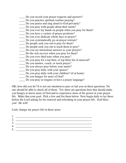- \_\_\_\_ Do you record your prayer requests and answers?
- \_\_\_\_ Do you practice spiritual warfare praying?
- \_\_\_\_ Do you praise and sing aloud to God privately?
- \_\_\_\_ Do you pray with people about their needs?
- \_\_\_\_ Do you ever lay hands on people when you pray for them?
- \_\_\_\_ Do you have a variety of prayer positions?
- \_\_\_\_ Do you ever dedicate whole days to prayer?
- \_\_\_\_ Do you systematically go on prayer retreats?
- \_\_\_\_ Do people seek you out to pray for them?
- \_\_\_\_ Do people seek you out to teach them to pray?
- \_\_\_\_ Do you see miraculous answers to your prayers?
- Do the sick recover when you pray for them?
- \_\_\_\_ Do you ever shed tears when you pray?
- \_\_\_\_ Do you pray for a top then, or top three list of unsaved?
- \_\_\_\_ Do you mentor, coach, or teach prayer?
- \_\_\_\_ Do you always pray before your meals?
- \_\_\_\_ Do you pray daily with your spouse?
- \_\_\_\_ Do you pray daily with your children? (if at home)
- \_\_\_\_ Do you hunger for more of God?
- \_\_\_\_ Do you pray in tongues or have a prayer language?

OK, how did you do? It is not our intention to pass or fail you on these questions. No one should be able to check all of them. Yet, there are questions here that should make you hungry to know more of God and to experience more of his power in your prayer life. Make that your goal. Pick a few and list them below. Now begin daily to lay these before the Lord asking for his renewal and refreshing in your prayer life. God bless you! He will!

Lord, change my prayer life in these areas:

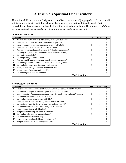# **A Disciple's Spiritual Life Inventory**

This spiritual life inventory is designed to be a self-test, not a way of judging others. It is unscientific, yet it can be a vital aid in thinking about and evaluating your spiritual life and growth. Do it prayerfully, without excuses. Be brutally honest before God remembering Hebrews 4: – *all things are open and nakedly exposed before him to whom we must give an account.* 

| <b>Question</b>                                                     | Yes                         | <b>Some</b> | N <sub>0</sub> |
|---------------------------------------------------------------------|-----------------------------|-------------|----------------|
| Are you personally committed to serving Jesus Christ as Lord?       | 2                           |             | $\theta$       |
| Have you had a basic discipleship/mentored experience?<br>2.        | 2                           |             | $\Omega$       |
| Have you been baptized by immersion as an youth/adult?<br>3.        | 2                           |             | $\Omega$       |
| Have you become a member of your local church?<br>4.                | 2                           |             | $\Omega$       |
| Are you regular in church attendance (3-4 Sundays per month)?<br>5. | 2                           |             | 0              |
| Do you participate in the communion service at least monthly?<br>6. | $\overline{2}$              |             | $\theta$       |
| Do you tithe regularly?<br>7.                                       | 2                           |             | 0              |
| Do you give regularly to missions?<br>8.                            | 2                           |             | 0              |
| Are you weekly participating in a church ministry or service?<br>9. | 2                           |             | $\Omega$       |
| 10. Do you regularly fellowship with believers in a small group?    | $\overline{2}$              |             | $\Omega$       |
| 11. Do you boldly share your testimony with others?                 | $\overline{c}$              |             | 0              |
| 12. Have you ever brought or won someone to Christ?                 | $\overline{2}$              |             | 0              |
| 13. Is Jesus Lord of every area of your life?                       | $\mathcal{D}_{\mathcal{L}}$ |             |                |
| 14. Do you delight in God's commands?                               | 2                           |             | 0              |
| <b>Total Your Score</b>                                             |                             |             |                |

### **Knowledge of the Word**

| <b>Question</b>                                                                                   | <b>Yes</b>                  | <b>Some</b> | N <sub>0</sub> |
|---------------------------------------------------------------------------------------------------|-----------------------------|-------------|----------------|
| Have you memorized sufficient Scriptures (know at least 30 verses by heart)?                      | 2                           |             | $\theta$       |
| Do you currently practice the discipline of Bible memorization?<br>2.                             | 2                           |             | $\Omega$       |
| Can you list the 10 commandments, and recite the Lord's Prayer, the 23 <sup>rd</sup> Psalm?<br>3. | $\mathfrak{D}$              |             | $\Omega$       |
| Do you know the books of Bible by heart?<br>4.                                                    | 2                           |             | 0              |
| Do you know most of the stories of Bible?<br>5.                                                   | 2                           |             | 0              |
| Have you ever studied the principle doctrines of the Bible?<br>6.                                 | 2                           |             | $\Omega$       |
| Do regularly study the Bible on your own (not just read it)?<br>7.                                | $\mathcal{D}_{\mathcal{L}}$ |             | 0              |
| 8.<br>Do you know how to do a "Word Study" of Bible word?                                         | 2                           |             | $\Omega$       |
| Have you ever taught a Bible class?<br>9.                                                         | 2                           |             | $\Omega$       |
| 10. Are presently teaching the Bible to someone?                                                  | 2                           |             | 0              |
| 11. Do you know how to use a concordance?                                                         | 2                           |             | $\Omega$       |
| 12. Do you read the Bible every day?                                                              | 2                           |             | 0              |
| 13. Have you ever read the Bible through in a year?                                               | $\mathcal{D}_{\mathcal{L}}$ |             | $\Omega$       |
| 14. Are you reading the Bible through this year?                                                  | $\mathfrak{D}$              |             | $\Omega$       |
| <b>Total Your Score</b>                                                                           |                             |             |                |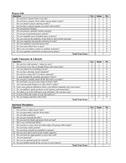### **Prayer Life**

| <b>Question</b>                                                          | <b>Yes</b>                  | <b>Some</b> | No       |
|--------------------------------------------------------------------------|-----------------------------|-------------|----------|
| Do you have a prayer time every day?                                     | $\mathfrak{D}$              |             | 0        |
| Do you have a prayer closet where you go alone to pray?<br>2.            | 2                           |             | 0        |
| Do you attend a prayer meeting weekly?<br>3.                             | 2                           |             | 0        |
| Do you have a prayer partner you meet with weekly?<br>4.                 | 2                           |             | 0        |
| Do you practice fasting?<br>5.                                           | 2                           |             | 0        |
| Do you practice spiritual warfare praying?<br>6.                         | 2                           |             | $\Omega$ |
| Do you go on personal prayer retreats?<br>7.                             | 2                           |             | 0        |
| Do you regularly have extended times of prayer?<br>8.                    | 2                           |             | $\Omega$ |
| Do you exercise the authority of the believer and warfare praying?<br>9. | 2                           |             | $\Omega$ |
| 10. Are you regularly praying the salvation of souls?                    | $\mathcal{D}_{\mathcal{L}}$ |             | 0        |
| 11. Do you maintain a personal prayer list?                              | 2                           |             |          |
| 12. Do you teach others how to pray?                                     | $\mathfrak{D}$              |             | $\Omega$ |
| 13. Have you ever taken a course or seminar on prayer?                   | 2                           |             | 0        |
| 14. Do you regularly read books on intercessory prayer?                  | $\mathfrak{D}$              |             | 0        |
| <b>Total Your Score</b>                                                  |                             |             |          |

### **Godly Character & Lifestyle**

| <b>Question</b>                                                                      | Yes                         | <b>Some</b> | N <sub>0</sub> |
|--------------------------------------------------------------------------------------|-----------------------------|-------------|----------------|
| Do you live with eternity's values in view?                                          | 2                           |             | 0              |
| Do you live every day as though Christ will come today?<br>2.                        | 2                           |             | 0              |
| Are you ethical in everything you do?<br>3.                                          | 2                           |             | $\Omega$       |
| Do you have absolute moral standards?<br>4.                                          | 2                           |             | 0              |
| Do you live a holy life? Is it above reproach?<br>5.                                 | 2                           |             | $\Omega$       |
| Is your thought life normally pleasing to Christ?<br>6.                              | 2                           |             | $\Omega$       |
| Do you pray carefully about all the decisions you make?<br>7.                        | 2                           |             | 0              |
| Do you know you are in the center of God's will?<br>8.                               | 2                           |             | $\Omega$       |
| Are your personal finances in order (God's order)?<br>9.                             | $\mathcal{D}_{\mathcal{L}}$ |             | $\Omega$       |
| 10. Does your political affiliation reflect your biblical standards and convictions? | 2                           |             | 0              |
| 11. Do you publicly speak up about social injustice and immorality?                  | 2                           |             | $\theta$       |
| 12. Do others you work with know your absolutes? Do you have any?                    | $\mathfrak{D}$              |             | $\Omega$       |
| 13. Is Jesus Christ the center of your life and love?                                | 2                           |             |                |
| 14. Do you hunger and thirst after God?                                              | 2                           |             | $\Omega$       |
| <b>Total Your Score</b>                                                              |                             |             |                |

### **Spiritual Disciplines**

| <b>Question</b>                                                            | Yes                         | Some | N <sub>0</sub> |
|----------------------------------------------------------------------------|-----------------------------|------|----------------|
| Do you have a daily prayer time?                                           | 2                           |      | $\Omega$       |
| Do you personally read the Word daily?<br>2.                               | 2                           |      | $\theta$       |
| Do you tithe regularly?<br>3.                                              | 2                           |      | 0              |
| Do you give beyond the tithe?<br>4.                                        | 2                           |      | $\Omega$       |
| Do you actively thank and praise God out loud?<br>5.                       | 2                           |      | 0              |
| Have you read through Bible?<br>6.                                         | 2                           |      | 0              |
| 7.<br>Do you have a close circle for fellowship (cell group, bible study)? | 2                           |      | 0              |
| Do you keep a daily journal?<br>8.                                         | 2                           |      | 0              |
| Do you keep yourself accountable to anyone?<br>9.                          | 2                           |      | $\theta$       |
| 10. Do you serve the Lord in some weekly capacity?                         | 2                           |      | $\Omega$       |
| 11. Do you look for opportunities to serve the Lord?                       | 2                           |      | 0              |
| 12. Are you punctual?                                                      | 2                           |      | 0              |
| 13. Do you set spiritual goals for yourself?                               | $\mathcal{D}_{\mathcal{L}}$ |      | 0              |
| 14. Do you faithful attend all the services of your church?                | 2                           |      | $\theta$       |
| <b>Total Your Score</b>                                                    |                             |      |                |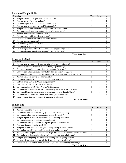### **Relational People Skills**

| <b>Question</b>                                                          | Yes                         | <b>Some</b> | N <sub>0</sub> |
|--------------------------------------------------------------------------|-----------------------------|-------------|----------------|
| Are you patient under pressure and in affliction?                        | 2                           |             | 0              |
| Are you known for grace and tact?<br>2.                                  | 2                           |             | 0              |
| Do you forgive easily when people offend you?<br>3.                      | 2                           |             | 0              |
| Are you able to get along with difficult people?<br>4.                   | 2                           |             | 0              |
| Are you free of all resentment over past sins, offenses, or hurts?<br>5. | 2                           |             | 0              |
| Do you regularly encourage other people with your words?<br>6.           | 2                           |             | 0              |
| Are you confident and secure as a person?<br>7.                          | 2                           |             | 0              |
| Are you comfortable meeting strangers?<br>8.                             | $\mathfrak{D}$              |             | 0              |
| Have you ever made restitution for some wrong?<br>9.                     | $\mathcal{D}_{\mathcal{L}}$ |             | 0              |
| 10. Are you slow to get angry?                                           | 2                           |             | 0              |
| 11. Do you easily make new friends                                       | $\mathfrak{D}$              |             | 0              |
| 12. Do you easily meet new people?                                       | $\mathcal{D}_{\mathcal{L}}$ |             | 0              |
| 13. Do you enjoy social interaction? Parties, Social gatherings, etc?    | 2                           |             | 0              |
| 14. Do you enjoy conversations with people you hardly know?              | $\mathfrak{D}$              |             | 0              |
| <b>Total Your Score</b>                                                  |                             |             |                |

#### **Evangelistic Skills**

| <b>Question</b>                                                                          | Yes                         | <b>Some</b> | $\bf No$ |
|------------------------------------------------------------------------------------------|-----------------------------|-------------|----------|
| Are you able to clearly articulate the Gospel message right now?                         | 2                           |             | $\Omega$ |
| 2.<br>Can you quote 10 Scriptures to support the gospel message?                         | 2                           |             | $\Omega$ |
| Can you answer objections of those who oppose the gospel?<br>3.                          | 2                           |             | $\Omega$ |
| Can you defend creation and your faith before an atheist or agnostic?<br>4.              | 2                           |             | $\Omega$ |
| 5.<br>Do you have specific evangelistic strategies for reaching your friends for Christ? | 2                           |             | 0        |
| Are you trained to refute and answer cults?<br>6.                                        | 2                           |             | $\Omega$ |
| 7.<br>Do you every purposely pursue people with the Gospel?                              | 2                           |             | $\Omega$ |
| Did you bring anyone to Christ this past year?<br>8.                                     | 2                           |             | 0        |
| Have you ever brought someone to Christ?<br>9.                                           | 2                           |             | $\Omega$ |
| 10. Do you maintain a "10 Most Wanted" list for prayer?                                  | $\mathcal{D}_{\mathcal{L}}$ |             | $\Omega$ |
| 11. Do you have a ready answer for those who say the Bible is full of errors?            | 2                           |             | 0        |
| 12. Do you deliberately make friends of unbelievers to win them to Christ?               | $\mathfrak{D}$              |             | $\Omega$ |
| 13. Do you have any unsaved friends with whom you spend time?                            | $\mathfrak{D}$              |             | $\Omega$ |
| 14. Have you ever taken a course in Evangelism Explosion?                                |                             |             |          |
| <b>Total Your Score</b>                                                                  |                             |             |          |

### **Family Life**

| <b>Question</b>                                                                         | Yes                         | <b>Some</b> | $\bf No$ |
|-----------------------------------------------------------------------------------------|-----------------------------|-------------|----------|
| Are you faithful to your spouse?                                                        | 2                           |             |          |
| Do you and your spouse have enjoyable conversations regularly?                          | 2                           |             |          |
| Do you discipline your children consistently? Biblically?<br>3.                         | 2                           |             | $\Omega$ |
| Are you a good at expressing affection and affirming your love?<br>4.                   | $\mathcal{D}_{\mathcal{L}}$ |             | $\Omega$ |
| Do you set absolute boundaries in your home?<br>5.                                      | 2                           |             |          |
| Do you have family devotions with your spouse and/or children?<br>6.                    | 2                           |             | $\Omega$ |
| 7.<br>Are your finances pleasing to God?                                                | 2                           |             | $\Omega$ |
| Are your movies and TV shows you watch pleasing to Jesus Christ?<br>8.                  | 2                           |             | 0        |
| Do you know the biblical teaching on divorce and remarriage?<br>9.                      | 2                           |             | $\Omega$ |
| 10. Have you recently participated in a marriage enrichment weekend or couples retreat? | 2                           |             | $\Omega$ |
| 11. Do you have a plan or schedule to work on your marriage relationship?               | 2                           |             | 0        |
| 12. Did you go through any pre-marital counseling before getting married?               | 2                           |             | $\Omega$ |
| 13. If divorced, have you ever attended a divorce recovery workshop?                    | $\mathcal{D}_{\mathcal{L}}$ |             |          |
| 14. Does your spouse and/or family recognize you are a godly man (or woman)?            | $\mathcal{D}_{\mathcal{L}}$ |             | 0        |
| <b>Total Your Score</b>                                                                 |                             |             |          |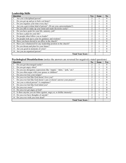### **Leadership Skills**

| <b>Question</b>                                                            | Yes            | <b>Some</b> | N <sub>0</sub> |
|----------------------------------------------------------------------------|----------------|-------------|----------------|
| Are you a disciplined person?                                              | 2              |             |                |
| Do you get up and go to bed a set hours?<br>2.                             |                |             |                |
| Do you organize your time every day?<br>3.                                 | 2              |             | 0              |
| Are you a get-it-done kind of person? (Or are you a procrastinator?)<br>4. | 2              |             |                |
| Do you able to make up your mind and made decisions easily?<br>5.          | 2              |             |                |
| Do you have goals for your life, ministry, job?<br>6.                      | 2              |             | 0              |
| 7.<br>Do have a plan for your life?                                        | 2              |             |                |
| Do people often follow you as leader?<br>8.                                | 2              |             | 0              |
| Do people look up to your for guidance and wisdom?<br>9.                   | $\mathfrak{D}$ |             | 0              |
| 10. Have you been elected to an office in the church?                      | 2              |             | 0              |
| 11. Have you volunteered for any leadership position in the church?        | 2              |             | 0              |
| 12. Do you dream and plan for your future?                                 | $\mathfrak{D}$ |             | $\Omega$       |
| 13. Are you good in moments of crisis?                                     | 2              |             |                |
| 14. Are you an organized person?                                           | 2              |             | $\Omega$       |
| <b>Total Your Score</b>                                                    |                |             |                |

### **Psychological Dissatisfactions** (notice the answers are reversed for negatively stated questions)

| <b>Question</b>                                                              | N <sub>0</sub>              | <b>Some</b> | <b>Yes</b>   |
|------------------------------------------------------------------------------|-----------------------------|-------------|--------------|
| Do you get discouraged easily?                                               | $\mathcal{D}_{\mathcal{L}}$ |             | $\mathbf{0}$ |
| 2.<br>Do you get angry often?                                                | 2                           |             | 0            |
| Do you use derogatory expressions like "stupid," "idiot," "jerk," etc?<br>3. | 2                           |             | 0            |
| Do you often argue with your spouse or children?<br>4.                       | $\overline{2}$              |             |              |
| 5.<br>Do you ever lose your temper?                                          | 2                           |             | 0            |
| Do you ever feel like God doesn't love you?<br>6.                            | 2                           |             | 0            |
| Do you ever feel like God doesn't care or doesn't answer your prayers?<br>7. | 2                           |             | $\Omega$     |
| 8.<br>Are you a critical person? A complainer?                               | $\mathfrak{D}$              |             | 0            |
| 9.<br>Do you ever feel like God failed you?                                  | 2                           |             | 0            |
| 10. Do you ever swear?                                                       | 2                           |             | 0            |
| 11. Do you ever get angry at God?                                            | 2                           |             | 0            |
| 12. Is there anyone you are bitter against, angry at, or dislike intensely?  | 2                           |             | 0            |
| 13. Do you ever have thoughts of suicide?                                    | $\mathfrak{D}$              |             | $\Omega$     |
| 14. Do you ever wish you were dead?                                          | $\mathfrak{D}$              |             | 0            |
| <b>Total Your Score</b>                                                      |                             |             |              |
|                                                                              |                             |             |              |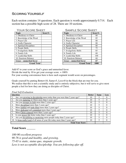## Scoring Yourself

Each section contains 14 questions. Each question is worth approximately 0.714. Each section has a possible high score of 28. There are 10 sections.

| YOUR SCORE SHEET         |        | <b>SAMPLE SCORE SHEET</b> |      |  |
|--------------------------|--------|---------------------------|------|--|
| <b>Topic</b>             | Score% | Score $%$<br><b>Topic</b> |      |  |
| 1. Obedience to Christ   |        | 1. Obedience to Christ    | 88   |  |
| 2. Knowledge of the Word |        | 2. Knowledge of the Word  | 85   |  |
| 3. Prayer Life           |        | 3. Prayer Life            | 88   |  |
| 4. Godly Character       |        | 4. Godly Character        | 88   |  |
| 5. Spiritual Disciplines |        | 5. Spiritual Disciplines  | 80   |  |
| 6. People Skills         |        | 6. People Skills          | 75   |  |
| 7. Evangelistic Skills   |        | 7. Evangelistic Skills    | 85   |  |
| 8. Family Life           |        | 8. Family Life            | 68   |  |
| 9. Leadership Skills     |        | 9. Leadership Skills      | 100  |  |
| 10. Emotions Balance     |        | 10. Emotions Balance      | 68   |  |
| Grace – unmerited favor  |        | Grace - unmerited favor   | 67   |  |
| <b>Grand Total</b>       |        | <b>Grand Total</b>        | 1000 |  |

| UNL UNLI           |        |  | OAMI LE OCONE OHEE I     |           |  |
|--------------------|--------|--|--------------------------|-----------|--|
|                    | Score% |  | <b>Topic</b>             | Score $%$ |  |
| Christ             |        |  | 1. Obedience to Christ   | 88        |  |
| the Word           |        |  | 2. Knowledge of the Word | 85        |  |
|                    |        |  | 3. Prayer Life           | 88        |  |
| ter                |        |  | 4. Godly Character       | 88        |  |
| iplines            |        |  | 5. Spiritual Disciplines | 80        |  |
|                    |        |  | 6. People Skills         | 75        |  |
| kills              |        |  | 7. Evangelistic Skills   | 85        |  |
|                    |        |  | 8. Family Life           | 68        |  |
| ills               |        |  | 9. Leadership Skills     | 100       |  |
| lance              |        |  | 10. Emotions Balance     | 68        |  |
| ited favor         |        |  | Grace – unmerited favor  | 67        |  |
| <b>Grand Total</b> |        |  | <b>Grand Total</b>       | 1000      |  |

#### SAMPLE SCORE SHEET

Add 67 to your score as God's grace and unmerited favor.

Divide the total by 10 to get your average score.  $= 100\%$ 

For your scoring convenience here is how each segment would score on percentages.

Grade yourself by putting Better=10, Same=5, Less=0 in the block that are true for you.

We realize that this is not a scientific study and is entirely subjective, but it will serve to give most people a feel for how they are doing as disciples of Christ.

*Final Self-Evaluation* 

| <b>Ouestion</b>                                                                        | <b>Better</b> | <b>Same</b> | <b>Less</b> |
|----------------------------------------------------------------------------------------|---------------|-------------|-------------|
| Are you growing in discipleship more today than you were than 2 years ago?             | 10            |             | $\theta$    |
| Are you maturing in Christ more than 2 years ago?<br>2.                                | 10            |             | $\Omega$    |
| Are you stronger in faith more than 2 years ago?<br>3.                                 | 10            |             |             |
| More disciplined more than 2 years ago?<br>4.                                          | 10            |             |             |
| More faithful and faith-filled more than 2 years ago?<br>5.                            | 10            |             |             |
| More dedicated and committed more than 2 years ago?<br>6.                              | 10            |             |             |
| More Christ-centered more than 2 years ago?                                            | 10            |             |             |
| Is your prayer life better today than 2 years ago?<br>8.                               | 10            |             |             |
| Are you disciplining or mentoring more people today than 2 years ago?<br>9.            | 10            |             |             |
| 10. Is <u>Jesus really Lord</u> of all areas of your life today more than 2 years ago? | 10            |             | $\Omega$    |
| <b>Total Your Score</b>                                                                |               |             |             |

### **Total Score \_\_\_\_\_\_**

*100-90 excellent progress 90-76 is good and healthy, and growing. 75-65 is static, status quo, stagnate growth.*  Less is not acceptable discipleship. You are following afar off.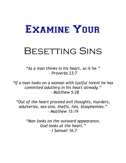# Examine Your

# Besetting Sins

"As a man thinks in his heart, so it he." - Proverbs 23:7

"If a man looks on a woman with lustful intent he has commited adultery in his heart already." - Matthew 5:28

"Out of the heart proceed evil thoughts, murders, adulteries, sex-sins, thefts, lies, blasphemies."  $-$  Matthew 15:19

> "Man looks on the outward appearance, God looks at the heart." - I Samuel 16:7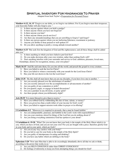### Spiritual Inventory For Hindrances To Prayer

Adapted from Jack Taylor's *Preparation for Personal Prayer*

**Matthew 6:12, 14, 15** "Forgive us our debts, as we forgive our debtors. For if you forgive men their trespasses, your heavenly Father will also forgive you: "

- 1) Is there anyone against whom you hold a grudge?
- 2) Is there anyone whom you have not forgiven?
- 3) Is there anyone you hate?
- 4) Is there anyone whom you do not love?
- 5) Are there any misunderstandings that you are unwilling to forgive? and forget?
- 6) Is there any person against whom you are harboring bitterness, resentment or jealousy.
- 7) Anyone you dislike to hear praised or well spoken of?
- 8) Do you allow anything to justify a wrong attitude toward another?

**Matthew 6:33** "But seek first the kingdom of God and His righteousness; and all these things shall be added unto you "

- 1) Is there anything in which you have failed to put God first?
- 2) Do you make decisions after your own wisdom, rather than seeking God's will?
- 3) Does anything interfere with your surrender and service to God: ambition, pleasures, loved ones,

friendships, desires for recognition, money, your own plans?

**Mark 16:15** "And He said unto them, Go you into all the world, and preach the gospel to every creature.

- 1) Have you failed to seek the lost for Christ?
- 2) Have you failed to witness consistently with your mouth for the Lord Jesus Christ?
- 3) Has your life not shown to the lost the Lord Jesus?

**John 13:35** "By this shall all men know that you are my disciples, if you have love one to another."

- 1) Are you secretly pleased over the misfortunes of another?
- 2) Are you secretly annoyed over the accomplishments or advancements of another?
- 3) Are you guilty of any contention or strife?
- 4) Do you quarrel, argue, or engage in heated discussions?
- 5) Are you a partaker in any divisions, or party spirit?
- 6) Are there people whom you deliberately slight?

**Acts 20:35** "It is more blessed to give than to receive."

- 1) Have you robbed God by withholding His due of time, talents, or money?
- 2) Have you given less than a tenth (tithe) of your income for God's work?
- 3) Have you failed to support mission work either in prayer or in offering?

**I Corinthians 4:2** "Moreover it is required in stewards, that a man be found faithful. "

- 1) Are you undependable, punctual, and faithful in the Lord's work with responsibilities?
- 2) Are you your emotions stirred for things of the Lord but you do nothing about it?
- 3) Are you doing everything (ministries) God has spoken to your about?

**I Corinthians 6: 19-20** "What? Do you not know that your body is the temple of the Holy Ghost which is in you, which you have of God, and you are not your own? For you are bought with a price: therefore glorify God in your body and in your spirit, which are God's"

- 1) Are you in any way careless with your body?
- 2) Do you fail to care for your body as the temple of the Holy Spirit?
- 3) Are you guilty of intemperance in eating and drinking?
- 4) Do you have any habits which are defiling to the body?

**Ephesians 3:20** "Now unto Him that is able to do exceedingly abundantly above all that we ask or think, according to the power that works in us."

- 1) Are you SELF-CONSCIOUS rather than CHRIST-CONSCIOUS?
- 2) Do feelings of inferiority to keep you from attempting things you should for God?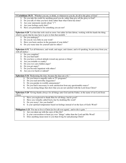**I Corinthians 10:31** "Whether you eat, or drink, or whatsoever you do, do all to the glory of God."

- 1) Do you take the credit for anything good you do, rather than give all the glory to God?
- 2) Do you talk of what you have done rather than what Christ has done?
- 3) Are your statements mostly about "1"?
- 4) Are your feelings easily hurt?
- 5) Have you pretended to be something you are not?

**Ephesians 4:28** "Let him that stole steal no more: but rather let him labour, working with his hands the thing which is good, that he may have to give to him that needeth. "

- 1) Do you underpay?
- 2) Do you do very little in your work?
- 3) Have you been careless in the payment of your debts?
- 4) Do you waste time for yourself and for others?

**Ephesians 4:31** "Let all bitterness, and wrath, and anger, and clamor, and evil speaking, be put away from you, with all malice."

- 1) Do you complain?
- 2) Do you find fault?
- 3) Do you have a critical attitude toward any person or thing?
- 4) Are you irritable or cranky?
- 5) Do you ever carry hidden anger?
- 6) Do you get angry?
- 7) Do you become impatient with others?
- 8) Are you ever harsh or unkind?

#### **Ephesians 5:16** "Redeeming the time, because the days are evil. "

- 1) Do you listen to ungodly radio or TV programs?
- 2) Do you read unworthy magazines?
- 3) Do you partake in worldly amusements?
- 4) Do you find it necessary to seek satisfaction from any questionable source?
- 5) Are you doing things that show that you are not satisfied with the Lord Jesus Christ?

**Ephesians 5:20** "Giving thanks always for all things unto God and the Father, in the name of our Lord Jesus Christ. "

- 1) Have you neglected to thank Him for all things, bad & good?
- 2) Have you virtually called God a liar by doubting His word?
- 3) Do you worry? Are you fearful?
- 4) Is your spiritual temperature based on feelings instead of on the facts of God's Word?

**Philippians 1:21** "For me to live is Christ [to live all over again], and to die is gain. "

- 1) Are you taken up with the cares of this life?
- 2) Is your conversation or heart joy over "things" rather than the Lord and His Word?
- 3) Does anything mean more to you than living for and pleasing Christ?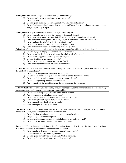|    | Philippians 2:14 "Do all things without murmurings and disputings."                                               |
|----|-------------------------------------------------------------------------------------------------------------------|
| 1) | Do you ever by word or deed seek to hurt someone?                                                                 |
| 2) | Do you gossip?                                                                                                    |
| 3) | Do you speak unkindly concerning people when they are not present?                                                |
| 4) | Do you harbor prejudice because they someone is different than you, or because they do not see                    |
|    | everything exactly like you?                                                                                      |
|    |                                                                                                                   |
|    | Philippians 4:4 "Rejoice in the Lord always: and again I say, Rejoice                                             |
| 1) | Have you neglected to seek to be pleasing to Him in all things?                                                   |
| 2) | Do you carry any bitterness toward God? Are you angry or disappointed with God?                                   |
|    | 3) Have you complained against Him in any way? Grumbled because of circumstances?                                 |
| 4) | Have you been dissatisfied with His provision for you?                                                            |
| 5) | Do you have any reservations in obeying His perfect will?                                                         |
|    | 6) Have you disobeyed some direct leading of the Holy Spirit?                                                     |
|    | Colossians 3:9 "Lie not one to another, seeing that you have put off the old man with his deeds."                 |
| 1) | Do you engage in empty and unprofitable conversation?                                                             |
| 2) | Do you ever lie, fib, deceive or withhold the whole truth of a matter?                                            |
| 3) | Do you ever exaggerate to make yourself look good?                                                                |
| 4) | Do you cheat (on taxes, expense reports)?                                                                         |
| 5) | Do you steal (from your employer, or from God)?                                                                   |
| 6) | Have you forgotten to return anything you borrowed?                                                               |
|    |                                                                                                                   |
|    | 2 Timothy 2:22 "Flee also youthful lusts: but follow righteousness, faith, charity, peace, with them that call on |
|    | the Lord out of a pure heart."                                                                                    |
| 1) | Do you have any personal habits that are not pure?                                                                |
| 2) | Do you allow impure thoughts about the opposite sex to stay in your mind?                                         |
|    | 3) Do you read that which is impure or suggests unholy things?                                                    |
| 4) | Do you indulge in any unclean entertainment?                                                                      |
| 5) | Are you guilty of the lustful look? Lustful thoughts? Lustful fantasies?                                          |
|    | Hebrews 10:25 "Not forsaking the assembling of ourselves together, as the manner of some is; but exhorting        |
|    | one another; and much more, as you see the day approaching."                                                      |
|    | $\overline{1}$ ) Do you deliberately stay away from some church services?                                         |
| 2) | Are you irregular in attendance at services?                                                                      |
| 3) | Do you neglect to attend & participate in meetings for prayer?                                                    |
| 4) | Have you neglected/slighted daily or private prayer?                                                              |
| 5) | Have you neglected thanksgiving at meals?                                                                         |
| 6) | Have you neglected family devotions?                                                                              |
|    |                                                                                                                   |
|    | Hebrews 13:7 "Remember them which have the rule over you, who have spoken unto you the Word of God:               |
|    | whose faith follow, considering the end of their conversation."                                                   |
| 1) | Do you hesitate to submit to leaders in the church or elsewhere?                                                  |
| 2) | Are you lazy in spiritual disciplines?                                                                            |
| 3) | Do you rebel at requests given to you to help in the work of the gospel?                                          |
| 4) | Do you have a stubborn streak, or an unteachable spirit?                                                          |
|    |                                                                                                                   |
|    | James 1:27 "Pure religion and undefiled before God and the Father is this, To visit the fatherless and widows     |
|    | in their affliction and to keep himself unspotted from the world."                                                |
| 1) | Have you allowed yourself to become "spotted" by the world?                                                       |
| 2) | Is your manner of dress pleasing to God?                                                                          |
| 3) | Do you spend beyond what is pleasing to God on anything?                                                          |
| 4) | Do you neglect to pray about the things that you buy?                                                             |
|    |                                                                                                                   |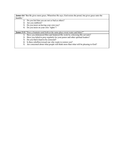|          | <b>James 4:6</b> "But He gives more grace, Wherefore He says, God resists the proud, but gives grace unto the |
|----------|---------------------------------------------------------------------------------------------------------------|
| humble." |                                                                                                               |
|          | Do you feel that you are not so bad as others?                                                                |
| 2)       | Are you stubborn?                                                                                             |
| 3)       | Do you insist on having your own way?                                                                         |
| 4)       | Do you insist on your own "rights"?                                                                           |
|          |                                                                                                               |
|          | <b>James 3:11</b> "Does a fountain send forth at the same place sweet water and bitter?"                      |
| 1)       | Have you dishonored Him and hindered His work by criticizing His servants?                                    |
| 2)       | Have you failed to pray regularly for your pastor and other spiritual leaders?                                |
| 3)       | Do you find it hard to be corrected?                                                                          |
| 4)       | Is there rebellion toward one who wants to restore you?                                                       |
| 5)       | Are concerned about what people will think more than what will be pleasing to God?                            |
|          |                                                                                                               |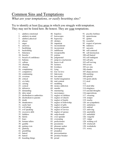### Common Sins and Temptations *What are your temptations, or easily besetting sins?*

Try to identify at least five areas in which you struggle with temptation. They may not be listed here. Be honest. They are your temptations.

- 1. adultery-emotional 2. adultery-in-mind 3. adultery-physical 4. abuser 5. anger 6. anorexia 7. backbiting 8. backsliding 9. bitterness 10. brawler 11. breach of confidence 12. bulimia 13. callous 14. cheating 15. clamor 16. complaining 17. compulsive 18. condemning 19. covetous 20. critical 21. cry-baby 22. cursing 23. cynical 24. defensive 25. demanding 26. dirty mind 27. disobedient to authorities 28. disobedient to parents 29. doubt 30. drunkenness 31. easily hurt 32. evil joking 33. evil speaking 34. excessive debt 35. faithless 36. falsify 37. fears 38. fortune tellers 39. gamble 40. getting even 41. gluttony 42. grumbling 43. hatred 44. hatred
	-
- 45. hoarding things

46. hopeless 47. horoscopes 48. hypocrisy 49. idolatry 50. impatient 51. inconsiderate 52. inconsistent 53. indifferent 54. irresponsible 55. jealous 56. judgmental 57. jump-to-conclusions 58. know-it-all 59. laziness 60. lewdness 61. lying 62. lost 1st love 63. lukewarm 64. lust-mind 65. lustful imagination 66. mal-content 67. meddling 68. money addiction 69. murder 70. murmuring 71. necromancy 72. neglect of children 73. neglect of church 74. neglect of family 75. neglect of fellowship 76. neglect of gifts 77. neglect of parents 78. neglect of service 79. neglect of spouse 80. ouija-boards 81. over-spender 82. overeating 83. perfectionist 84. pessimistic 85. pleasure seeker 86. pornography 87. prejudice 88. procrastination 89. promise breaker

90. proud

101.self-indulgent 102.self-pity 103.self-serving 104.severe 105.sex sins 106.slander 107.sharp answers 108.smoking 109.spiteful 110.sports-aholic 111.steal 112. 113.steal tithe 114.stinginess 115.suicidal thoughts 116.superstitions 117. swearing 118. temper 119. touchy 120. un-sympathetic 121. unfairness 122. unkind 123. unloving 124. unreliable 125. unfaithful 126. vengeful 127. vulgar 128. wishing evil 129. witchcraft 130. workaholic 131. worry

91. psychic-hotlines 92. quarrelsome 93. quitter 94. resentful

95. respect of persons

96. rudeness 97. sarcastic 98. self-centered 99. self-destruction 100.self-hatred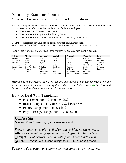# Seriously Examine Yourself Your Weaknesses, Besetting Sins, and Temptations

We are all tempted. Even Jesus was tempted of the devil. James tells us that we are all tempted when we are drawn away of our own lusts and enticed. Be honest with yourself.

- Where Are Your Weakness? (James 5:16)
- What Are Your Easily Besetting Sins? (Hebrews 12:1)
- What Are Your Re-occurring Temptations? (James 1:2, 1 Peter 1:6)

### **Read these Scriptures pertaining to sin during your self-examination time.**

Rom 1:29-32, 1 Cor. 6:8-10, 1 Cor 10:6-10, Gal 5:19-21, Eph 4:25-31, 2 Tim 3:1-8, Rev. 21:8

*Read the following list and check any area of weakness the Lord may point out to you.* 

| <b>Spiritual</b> | <b>Mental</b> | <b>Emotional</b>  | <b>Verbal</b> | <b>Physical</b>  | Financial   | Ego       |
|------------------|---------------|-------------------|---------------|------------------|-------------|-----------|
| Idolatry         | <b>Doubts</b> | Hatred            | Curse         | Sexual           | Cheating    | Pride     |
| Witchcraft       | Fears         | Jealousy          | Swear         | Sensual          | Workaholic  | Self-pity |
| Fortunes         | Worry         | Anger             | Lie           | Drugs            | Things      | Ambition  |
| Horoscopes       | Anxiety       | <b>Bitterness</b> | Criticize     | Alcohol          | Not Tithing | Greed     |
| Ouija Boards     | Evil Thoughts | Prejudice         | Condemn       | Smoking          | Stealing    | Coveting  |
| <b>Charms</b>    | Fantasies     | Self-Pity         | Gossip        | Body worship     | Lotto       | Prejudice |
|                  | Lusts         | Discouraged       | Slander       | Beauty obsession | Gambling    |           |
|                  |               | Depressed         | Blasphemy     | Figure obsession | Fraud       |           |
|                  |               |                   |               |                  |             |           |

*Hebrews 12:1 Wherefore seeing we also are compassed about with so great a cloud of witnesses, let us lay aside every weight, and the sin which does so easily beset us, and let us run with patience the race that is set before us,* 

# How To Deal With Temptation

- Flee Temptation  $-2$  Timothy 2:22
- Resist Temptation James 4:7 & 1 Peter 5:9
- Endure Temptation James 1:12
- Pray to Escape Temptation Luke 22:40

# **Confess Sin**

*(Do spiritual inventory, open heart surgery)* 

**W**ords - *have you spoken evil of anyone, criticized, sharp words* **A**ttitudes - *complaining spirit, depressed, grouchy, know-it-all* **T**houghts - *evil desires, lusts, doubts, fears, hatred, bitterness* **A**ctions - *broken God's laws, trespassed on forbidden ground*

*Be sure to do spiritual inventory when you come before the throne.*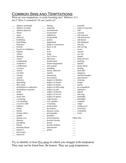# Common Sins and Temptations

What are your temptations, or easily besetting sins? Hebrews 12:1 *Am I? Have I committed? Or am I guilty of?* 

| adultery-in-mind<br>impatient<br>respect of persons<br>inconsiderate<br>adultery-physical<br>rude<br>abuser<br>inconsistent<br>sarcastic<br>indifferent<br>self-centered<br>anger<br>irresponsible<br>self-destruction<br>anorexia<br>jealous<br>self-hatred<br>backbiting<br>backsliding<br>judgmental<br>self-indulgent<br>jump-to-conclusions<br>self-pity<br>bitterness<br>know-it-all<br>brawler<br>self-serving<br>breach of confidence<br>lazy<br>severe<br>bulimia<br>lewd<br>sensual<br>callous<br>lying<br>sex sins<br>lost 1st love<br>slander<br>cheating<br>clamor<br>lukewarm<br>sharp answers<br>complaining<br>lustful-mind<br>smoking<br>lustful imagination<br>compulsive<br>spiteful<br>condemning<br>mal-content<br>sports-aholic<br>meddling<br>stealing<br>covetous<br>money addiction<br>steal tithe<br>critical<br>murder<br>stinginess<br>cry-baby<br>cursing<br>suicidal thoughts<br>murmuring<br>superstitions<br>cynical<br>necromancy<br>defensive<br>neglect of children<br>swearing<br>neglect of church<br>demanding<br>temper<br>dirty mind<br>neglect of family<br>touchy<br>disobedient to authorities<br>neglect of fellowship<br>un-sympathetic<br>$\frac{1}{1}$<br>neglect of gifts<br>unfairness<br>disobedient to parents<br>$\frac{1}{1}$<br>neglect of parents<br>doubt<br>unkind<br>neglect of service<br>drunken<br>unloving<br>easily hurt<br>neglect of spouse<br>unreliable<br>evil joking<br>ouija-boards<br>unfaithful<br>evil speaking<br>over-spender<br>vengeful<br>overeating<br>excessive debt<br>vulgar<br>perfectionist<br>wishing evil<br>faithless<br>witchcraft<br>pessimistic<br>falsify<br>fearful<br>pleasure seeker<br>workaholic<br>fortune tellers<br>pornography<br>worry<br>prejudice<br>gamble<br>Other Sins<br>procrastination<br>getting even<br>promise breaker<br>gluttony<br>grumbling<br>proud<br>psychic-hotlines<br>hatred<br>quarrelsome<br>hoarding things<br>quitter<br>hopeless | adultery-emotional | idolatry | resentful |
|-----------------------------------------------------------------------------------------------------------------------------------------------------------------------------------------------------------------------------------------------------------------------------------------------------------------------------------------------------------------------------------------------------------------------------------------------------------------------------------------------------------------------------------------------------------------------------------------------------------------------------------------------------------------------------------------------------------------------------------------------------------------------------------------------------------------------------------------------------------------------------------------------------------------------------------------------------------------------------------------------------------------------------------------------------------------------------------------------------------------------------------------------------------------------------------------------------------------------------------------------------------------------------------------------------------------------------------------------------------------------------------------------------------------------------------------------------------------------------------------------------------------------------------------------------------------------------------------------------------------------------------------------------------------------------------------------------------------------------------------------------------------------------------------------------------------------------------------------------------------------------------------------------------------------------------------------------------------|--------------------|----------|-----------|
|                                                                                                                                                                                                                                                                                                                                                                                                                                                                                                                                                                                                                                                                                                                                                                                                                                                                                                                                                                                                                                                                                                                                                                                                                                                                                                                                                                                                                                                                                                                                                                                                                                                                                                                                                                                                                                                                                                                                                                 |                    |          |           |
|                                                                                                                                                                                                                                                                                                                                                                                                                                                                                                                                                                                                                                                                                                                                                                                                                                                                                                                                                                                                                                                                                                                                                                                                                                                                                                                                                                                                                                                                                                                                                                                                                                                                                                                                                                                                                                                                                                                                                                 |                    |          |           |
|                                                                                                                                                                                                                                                                                                                                                                                                                                                                                                                                                                                                                                                                                                                                                                                                                                                                                                                                                                                                                                                                                                                                                                                                                                                                                                                                                                                                                                                                                                                                                                                                                                                                                                                                                                                                                                                                                                                                                                 |                    |          |           |
|                                                                                                                                                                                                                                                                                                                                                                                                                                                                                                                                                                                                                                                                                                                                                                                                                                                                                                                                                                                                                                                                                                                                                                                                                                                                                                                                                                                                                                                                                                                                                                                                                                                                                                                                                                                                                                                                                                                                                                 |                    |          |           |
|                                                                                                                                                                                                                                                                                                                                                                                                                                                                                                                                                                                                                                                                                                                                                                                                                                                                                                                                                                                                                                                                                                                                                                                                                                                                                                                                                                                                                                                                                                                                                                                                                                                                                                                                                                                                                                                                                                                                                                 |                    |          |           |
|                                                                                                                                                                                                                                                                                                                                                                                                                                                                                                                                                                                                                                                                                                                                                                                                                                                                                                                                                                                                                                                                                                                                                                                                                                                                                                                                                                                                                                                                                                                                                                                                                                                                                                                                                                                                                                                                                                                                                                 |                    |          |           |
|                                                                                                                                                                                                                                                                                                                                                                                                                                                                                                                                                                                                                                                                                                                                                                                                                                                                                                                                                                                                                                                                                                                                                                                                                                                                                                                                                                                                                                                                                                                                                                                                                                                                                                                                                                                                                                                                                                                                                                 |                    |          |           |
|                                                                                                                                                                                                                                                                                                                                                                                                                                                                                                                                                                                                                                                                                                                                                                                                                                                                                                                                                                                                                                                                                                                                                                                                                                                                                                                                                                                                                                                                                                                                                                                                                                                                                                                                                                                                                                                                                                                                                                 |                    |          |           |
|                                                                                                                                                                                                                                                                                                                                                                                                                                                                                                                                                                                                                                                                                                                                                                                                                                                                                                                                                                                                                                                                                                                                                                                                                                                                                                                                                                                                                                                                                                                                                                                                                                                                                                                                                                                                                                                                                                                                                                 |                    |          |           |
|                                                                                                                                                                                                                                                                                                                                                                                                                                                                                                                                                                                                                                                                                                                                                                                                                                                                                                                                                                                                                                                                                                                                                                                                                                                                                                                                                                                                                                                                                                                                                                                                                                                                                                                                                                                                                                                                                                                                                                 |                    |          |           |
|                                                                                                                                                                                                                                                                                                                                                                                                                                                                                                                                                                                                                                                                                                                                                                                                                                                                                                                                                                                                                                                                                                                                                                                                                                                                                                                                                                                                                                                                                                                                                                                                                                                                                                                                                                                                                                                                                                                                                                 |                    |          |           |
|                                                                                                                                                                                                                                                                                                                                                                                                                                                                                                                                                                                                                                                                                                                                                                                                                                                                                                                                                                                                                                                                                                                                                                                                                                                                                                                                                                                                                                                                                                                                                                                                                                                                                                                                                                                                                                                                                                                                                                 |                    |          |           |
|                                                                                                                                                                                                                                                                                                                                                                                                                                                                                                                                                                                                                                                                                                                                                                                                                                                                                                                                                                                                                                                                                                                                                                                                                                                                                                                                                                                                                                                                                                                                                                                                                                                                                                                                                                                                                                                                                                                                                                 |                    |          |           |
|                                                                                                                                                                                                                                                                                                                                                                                                                                                                                                                                                                                                                                                                                                                                                                                                                                                                                                                                                                                                                                                                                                                                                                                                                                                                                                                                                                                                                                                                                                                                                                                                                                                                                                                                                                                                                                                                                                                                                                 |                    |          |           |
|                                                                                                                                                                                                                                                                                                                                                                                                                                                                                                                                                                                                                                                                                                                                                                                                                                                                                                                                                                                                                                                                                                                                                                                                                                                                                                                                                                                                                                                                                                                                                                                                                                                                                                                                                                                                                                                                                                                                                                 |                    |          |           |
|                                                                                                                                                                                                                                                                                                                                                                                                                                                                                                                                                                                                                                                                                                                                                                                                                                                                                                                                                                                                                                                                                                                                                                                                                                                                                                                                                                                                                                                                                                                                                                                                                                                                                                                                                                                                                                                                                                                                                                 |                    |          |           |
|                                                                                                                                                                                                                                                                                                                                                                                                                                                                                                                                                                                                                                                                                                                                                                                                                                                                                                                                                                                                                                                                                                                                                                                                                                                                                                                                                                                                                                                                                                                                                                                                                                                                                                                                                                                                                                                                                                                                                                 |                    |          |           |
|                                                                                                                                                                                                                                                                                                                                                                                                                                                                                                                                                                                                                                                                                                                                                                                                                                                                                                                                                                                                                                                                                                                                                                                                                                                                                                                                                                                                                                                                                                                                                                                                                                                                                                                                                                                                                                                                                                                                                                 |                    |          |           |
|                                                                                                                                                                                                                                                                                                                                                                                                                                                                                                                                                                                                                                                                                                                                                                                                                                                                                                                                                                                                                                                                                                                                                                                                                                                                                                                                                                                                                                                                                                                                                                                                                                                                                                                                                                                                                                                                                                                                                                 |                    |          |           |
|                                                                                                                                                                                                                                                                                                                                                                                                                                                                                                                                                                                                                                                                                                                                                                                                                                                                                                                                                                                                                                                                                                                                                                                                                                                                                                                                                                                                                                                                                                                                                                                                                                                                                                                                                                                                                                                                                                                                                                 |                    |          |           |
|                                                                                                                                                                                                                                                                                                                                                                                                                                                                                                                                                                                                                                                                                                                                                                                                                                                                                                                                                                                                                                                                                                                                                                                                                                                                                                                                                                                                                                                                                                                                                                                                                                                                                                                                                                                                                                                                                                                                                                 |                    |          |           |
|                                                                                                                                                                                                                                                                                                                                                                                                                                                                                                                                                                                                                                                                                                                                                                                                                                                                                                                                                                                                                                                                                                                                                                                                                                                                                                                                                                                                                                                                                                                                                                                                                                                                                                                                                                                                                                                                                                                                                                 |                    |          |           |
|                                                                                                                                                                                                                                                                                                                                                                                                                                                                                                                                                                                                                                                                                                                                                                                                                                                                                                                                                                                                                                                                                                                                                                                                                                                                                                                                                                                                                                                                                                                                                                                                                                                                                                                                                                                                                                                                                                                                                                 |                    |          |           |
|                                                                                                                                                                                                                                                                                                                                                                                                                                                                                                                                                                                                                                                                                                                                                                                                                                                                                                                                                                                                                                                                                                                                                                                                                                                                                                                                                                                                                                                                                                                                                                                                                                                                                                                                                                                                                                                                                                                                                                 |                    |          |           |
|                                                                                                                                                                                                                                                                                                                                                                                                                                                                                                                                                                                                                                                                                                                                                                                                                                                                                                                                                                                                                                                                                                                                                                                                                                                                                                                                                                                                                                                                                                                                                                                                                                                                                                                                                                                                                                                                                                                                                                 |                    |          |           |
|                                                                                                                                                                                                                                                                                                                                                                                                                                                                                                                                                                                                                                                                                                                                                                                                                                                                                                                                                                                                                                                                                                                                                                                                                                                                                                                                                                                                                                                                                                                                                                                                                                                                                                                                                                                                                                                                                                                                                                 |                    |          |           |
|                                                                                                                                                                                                                                                                                                                                                                                                                                                                                                                                                                                                                                                                                                                                                                                                                                                                                                                                                                                                                                                                                                                                                                                                                                                                                                                                                                                                                                                                                                                                                                                                                                                                                                                                                                                                                                                                                                                                                                 |                    |          |           |
|                                                                                                                                                                                                                                                                                                                                                                                                                                                                                                                                                                                                                                                                                                                                                                                                                                                                                                                                                                                                                                                                                                                                                                                                                                                                                                                                                                                                                                                                                                                                                                                                                                                                                                                                                                                                                                                                                                                                                                 |                    |          |           |
|                                                                                                                                                                                                                                                                                                                                                                                                                                                                                                                                                                                                                                                                                                                                                                                                                                                                                                                                                                                                                                                                                                                                                                                                                                                                                                                                                                                                                                                                                                                                                                                                                                                                                                                                                                                                                                                                                                                                                                 |                    |          |           |
|                                                                                                                                                                                                                                                                                                                                                                                                                                                                                                                                                                                                                                                                                                                                                                                                                                                                                                                                                                                                                                                                                                                                                                                                                                                                                                                                                                                                                                                                                                                                                                                                                                                                                                                                                                                                                                                                                                                                                                 |                    |          |           |
|                                                                                                                                                                                                                                                                                                                                                                                                                                                                                                                                                                                                                                                                                                                                                                                                                                                                                                                                                                                                                                                                                                                                                                                                                                                                                                                                                                                                                                                                                                                                                                                                                                                                                                                                                                                                                                                                                                                                                                 |                    |          |           |
|                                                                                                                                                                                                                                                                                                                                                                                                                                                                                                                                                                                                                                                                                                                                                                                                                                                                                                                                                                                                                                                                                                                                                                                                                                                                                                                                                                                                                                                                                                                                                                                                                                                                                                                                                                                                                                                                                                                                                                 |                    |          |           |
|                                                                                                                                                                                                                                                                                                                                                                                                                                                                                                                                                                                                                                                                                                                                                                                                                                                                                                                                                                                                                                                                                                                                                                                                                                                                                                                                                                                                                                                                                                                                                                                                                                                                                                                                                                                                                                                                                                                                                                 |                    |          |           |
|                                                                                                                                                                                                                                                                                                                                                                                                                                                                                                                                                                                                                                                                                                                                                                                                                                                                                                                                                                                                                                                                                                                                                                                                                                                                                                                                                                                                                                                                                                                                                                                                                                                                                                                                                                                                                                                                                                                                                                 |                    |          |           |
|                                                                                                                                                                                                                                                                                                                                                                                                                                                                                                                                                                                                                                                                                                                                                                                                                                                                                                                                                                                                                                                                                                                                                                                                                                                                                                                                                                                                                                                                                                                                                                                                                                                                                                                                                                                                                                                                                                                                                                 |                    |          |           |
|                                                                                                                                                                                                                                                                                                                                                                                                                                                                                                                                                                                                                                                                                                                                                                                                                                                                                                                                                                                                                                                                                                                                                                                                                                                                                                                                                                                                                                                                                                                                                                                                                                                                                                                                                                                                                                                                                                                                                                 |                    |          |           |
|                                                                                                                                                                                                                                                                                                                                                                                                                                                                                                                                                                                                                                                                                                                                                                                                                                                                                                                                                                                                                                                                                                                                                                                                                                                                                                                                                                                                                                                                                                                                                                                                                                                                                                                                                                                                                                                                                                                                                                 |                    |          |           |
|                                                                                                                                                                                                                                                                                                                                                                                                                                                                                                                                                                                                                                                                                                                                                                                                                                                                                                                                                                                                                                                                                                                                                                                                                                                                                                                                                                                                                                                                                                                                                                                                                                                                                                                                                                                                                                                                                                                                                                 |                    |          |           |
|                                                                                                                                                                                                                                                                                                                                                                                                                                                                                                                                                                                                                                                                                                                                                                                                                                                                                                                                                                                                                                                                                                                                                                                                                                                                                                                                                                                                                                                                                                                                                                                                                                                                                                                                                                                                                                                                                                                                                                 |                    |          |           |
|                                                                                                                                                                                                                                                                                                                                                                                                                                                                                                                                                                                                                                                                                                                                                                                                                                                                                                                                                                                                                                                                                                                                                                                                                                                                                                                                                                                                                                                                                                                                                                                                                                                                                                                                                                                                                                                                                                                                                                 |                    |          |           |
|                                                                                                                                                                                                                                                                                                                                                                                                                                                                                                                                                                                                                                                                                                                                                                                                                                                                                                                                                                                                                                                                                                                                                                                                                                                                                                                                                                                                                                                                                                                                                                                                                                                                                                                                                                                                                                                                                                                                                                 |                    |          |           |
|                                                                                                                                                                                                                                                                                                                                                                                                                                                                                                                                                                                                                                                                                                                                                                                                                                                                                                                                                                                                                                                                                                                                                                                                                                                                                                                                                                                                                                                                                                                                                                                                                                                                                                                                                                                                                                                                                                                                                                 |                    |          |           |
|                                                                                                                                                                                                                                                                                                                                                                                                                                                                                                                                                                                                                                                                                                                                                                                                                                                                                                                                                                                                                                                                                                                                                                                                                                                                                                                                                                                                                                                                                                                                                                                                                                                                                                                                                                                                                                                                                                                                                                 |                    |          |           |
|                                                                                                                                                                                                                                                                                                                                                                                                                                                                                                                                                                                                                                                                                                                                                                                                                                                                                                                                                                                                                                                                                                                                                                                                                                                                                                                                                                                                                                                                                                                                                                                                                                                                                                                                                                                                                                                                                                                                                                 |                    |          |           |
|                                                                                                                                                                                                                                                                                                                                                                                                                                                                                                                                                                                                                                                                                                                                                                                                                                                                                                                                                                                                                                                                                                                                                                                                                                                                                                                                                                                                                                                                                                                                                                                                                                                                                                                                                                                                                                                                                                                                                                 | horoscopes         |          |           |
| hypocrisy                                                                                                                                                                                                                                                                                                                                                                                                                                                                                                                                                                                                                                                                                                                                                                                                                                                                                                                                                                                                                                                                                                                                                                                                                                                                                                                                                                                                                                                                                                                                                                                                                                                                                                                                                                                                                                                                                                                                                       |                    |          |           |

Try to identify at least five areas in which you struggle with temptation. They may not be listed here. Be honest. They are your temptations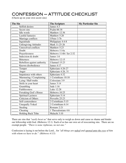# CONFESSION – ATTITUDE CHECKLIST

(Check up on your own secret sins)

| <b>The Sin</b>               | <b>The Scripture</b>     | <b>My Particular Sin</b> |
|------------------------------|--------------------------|--------------------------|
| Selfish desires              | James 4:3                |                          |
| Secret sins                  | Psalm 66:18              |                          |
| Idle words                   | Matthew 12:36            |                          |
| <b>Lustful fantasies</b>     | Matthew 5:28             |                          |
| Marriage conflicts           | I Peter 3:7b             |                          |
| Ingratitude                  | Philippians 4:4-8        |                          |
| <b>Unforgiving Attitudes</b> | Mark 11:25-26            |                          |
| Unresolved conflicts         | Matthew 5:23             |                          |
| Doubt                        | Hebrews 11:6a            |                          |
| Prayerlessness               | Hebrews 11:6b / Jer 2:32 |                          |
| Indecision & doubt           | James 1:6                |                          |
| <b>Bitterness</b>            | Hebrews 12:15            |                          |
| Rebellion against authority  | <b>I</b> Samuel 15:23    |                          |
| Known disobedience           | James 4:17               |                          |
| Temper                       | Ephesians 4:26-27        |                          |
| Anger                        | Ephesians 4:26, 31       |                          |
| Impatience with others       | Ephesians 4:32           |                          |
| Murmuring / Complaining      | 1 Corinthians 10:10      |                          |
| Lying / Half-truths          | Colossians 3:9           |                          |
| Strife in your heart         | James 3:14               |                          |
| Grumbling                    | Jude 1:16                |                          |
| Faithlessness                | Luke 12:28               |                          |
| Forsaking God's House        | Hebrews 10:25            |                          |
| <b>Spiritual Laziness</b>    | Ephesians 5:14           |                          |
| <b>Criticism of Others</b>   | Proverbs 25:23           |                          |
| Self-centeredness            | 2 Corinthians 5:15       |                          |
| <b>Unequally Yoked</b>       | 2 Corinthians 6:14       |                          |
| Stealing                     | Romans 2:21              |                          |
| Cheating                     | 1 Thessalonians 4:6      |                          |
| Holding Back Tithe           | Malachi 3:10             |                          |

There are sins that *"easily beset us"* that serve only to weigh us down and cause us shame and hinder our fellowship with God. (Hebrews 12:1) Each of us has our own set of reoccurring sins. There are no exempt people. *"There is none righteous, no not one."*

Confession is laying it out before the Lord... for *"all things are naked and opened unto the eyes of him with whom we have to do." (Hebrews 4:13)*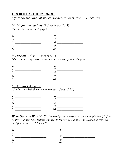# Look Into the Mirror

*"If we say we have not sinned, we deceive ourselves…" I John 1:8* 

# *My Major Temptations (1 Corinthians 10:13)*

*(See the list on the next page)* 

### *My Besetting Sins (Hebrews 12:1)*

*(Those that easily overtake me and occur over again and again.)* 

## *My Failures & Faults*

*(Confess or admit them one to another – James 5:16.)* 

*What God Did With My Sin (memorize these verses so you can apply them)."If we confess our sins he is faithful and just to forgive us our sins and cleanse us from all unrighteousnesss." I John 1:9* 

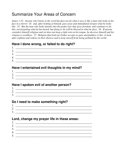# Summarize Your Areas of Concern

*James 1:23. Anyone who listens to the word but does not do what it says is like a man who looks at his face in a mirror 24. and, after looking at himself, goes away and immediately forgets what he looks like. 25. But the man who looks intently into the perfect law that gives freedom, and continues to do this, not forgetting what he has heard, but doing it--he will be blessed in what he does. 26. If anyone considers himself religious and yet does not keep a tight rein on his tongue, he deceives himself and his religion is worthless. 27. Religion that God our Father accepts as pure and faultless is this: to look after orphans and widows in their distress and to keep oneself from being polluted by the world.* 

## **Have I done wrong, or failed to do right?**

| ╭                    |  |
|----------------------|--|
| $\mathcal{R}$<br>. J |  |
| $\Lambda$            |  |
| - 1                  |  |

## **Have I entertained evil thoughts in my mind?**

1. \_\_\_\_\_\_\_\_\_\_\_\_\_\_\_\_\_\_\_\_\_\_\_\_\_\_\_\_\_\_\_\_\_\_\_\_\_\_\_\_\_\_\_\_\_\_\_\_\_\_\_\_\_ 2. \_\_\_\_\_\_\_\_\_\_\_\_\_\_\_\_\_\_\_\_\_\_\_\_\_\_\_\_\_\_\_\_\_\_\_\_\_\_\_\_\_\_\_\_\_\_\_\_\_\_\_\_\_ 3. \_\_\_\_\_\_\_\_\_\_\_\_\_\_\_\_\_\_\_\_\_\_\_\_\_\_\_\_\_\_\_\_\_\_\_\_\_\_\_\_\_\_\_\_\_\_\_\_\_\_\_\_\_

# **Have I spoken evil of another person?**

| ⌒<br>∸ |  |
|--------|--|
| ∼      |  |
| ، ب    |  |

# **Do I need to make something right?**

| Ī.            |  |
|---------------|--|
| า<br><u>L</u> |  |
| 2<br>ັ        |  |

## **Lord, change my prayer life in these areas:**

| r        |  |
|----------|--|
| ر،       |  |
|          |  |
| $\sim$ . |  |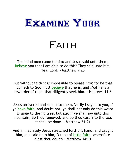

# FAITH

The blind men came to him: and Jesus said unto them, Believe you that I am able to do this? They said unto him, Yea, Lord. - Matthew 9:28

But without faith *it is* impossible to please *him*: for he that cometh to God must believe that he is, and that he is a rewarder of them that diligently seek him. - Hebrews 11:6

Jesus answered and said unto them, Verily I say unto you, If ye have faith, and doubt not, ye shall not only do this which is done to the fig tree, but also if ye shall say unto this mountain, Be thou removed, and be thou cast into the sea; it shall be done. - Matthew 21:21

And immediately Jesus stretched forth his hand, and caught him, and said unto him, O thou of little faith, wherefore didst thou doubt? - Matthew 14:31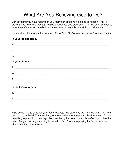# What Are You Believing God to Do?

Don't pretend you have faith when you really don't believe it is going to happen. That is praying a lie. Exercise real faith in God's goodness and promises. This kind of praying takes more time. One must come boldly to the throne of grace, but carefully and sincerely.

Be specific in the request that you long for, believe God wants, and are willing to persist for.

### **In your life and family**

| 1. |                               |
|----|-------------------------------|
| 2. |                               |
|    | $3.$ $\overline{\phantom{a}}$ |
|    | In your church.               |
|    |                               |
| 2. |                               |
| 3. |                               |
|    | In the lives of others        |

### **In the lives of others.**

| . .           |  |
|---------------|--|
| 2<br><u>.</u> |  |
| ◠<br>ີ        |  |

Take some time to consider your "faith requests." Be sure they are from the heart, not from the top of your head. You must long for them, believe for them, and plead for them. You must be willing to prevail for them, agonize over them, then search and claim God's promises for them. Are you praying according to the will of God? Are you praying for God's purpose, God's kingdom or your own?